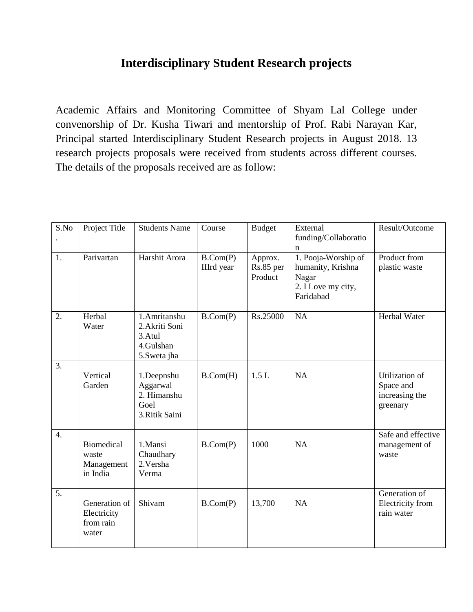## **Interdisciplinary Student Research projects**

Academic Affairs and Monitoring Committee of Shyam Lal College under convenorship of Dr. Kusha Tiwari and mentorship of Prof. Rabi Narayan Kar, Principal started Interdisciplinary Student Research projects in August 2018. 13 research projects proposals were received from students across different courses. The details of the proposals received are as follow:

| S.No             | Project Title                                        | <b>Students Name</b>                                                 | Course                        | <b>Budget</b>                   | External<br>funding/Collaboratio                                                          | Result/Outcome                                            |
|------------------|------------------------------------------------------|----------------------------------------------------------------------|-------------------------------|---------------------------------|-------------------------------------------------------------------------------------------|-----------------------------------------------------------|
| 1.               | Parivartan                                           | Harshit Arora                                                        | B.Com(P)<br><b>IIIrd</b> year | Approx.<br>Rs.85 per<br>Product | n<br>1. Pooja-Worship of<br>humanity, Krishna<br>Nagar<br>2. I Love my city,<br>Faridabad | Product from<br>plastic waste                             |
| 2.               | Herbal<br>Water                                      | 1.Amritanshu<br>2.Akriti Soni<br>3.Atul<br>4.Gulshan<br>5. Sweta jha | B.Com(P)                      | Rs.25000                        | <b>NA</b>                                                                                 | Herbal Water                                              |
| 3.               | Vertical<br>Garden                                   | 1.Deepnshu<br>Aggarwal<br>2. Himanshu<br>Goel<br>3.Ritik Saini       | B.Com(H)                      | 1.5L                            | <b>NA</b>                                                                                 | Utilization of<br>Space and<br>increasing the<br>greenary |
| $\overline{4}$ . | <b>Biomedical</b><br>waste<br>Management<br>in India | 1.Mansi<br>Chaudhary<br>2. Versha<br>Verma                           | B.Com(P)                      | 1000                            | <b>NA</b>                                                                                 | Safe and effective<br>management of<br>waste              |
| 5.               | Generation of<br>Electricity<br>from rain<br>water   | Shivam                                                               | B.Com(P)                      | 13,700                          | NA                                                                                        | Generation of<br>Electricity from<br>rain water           |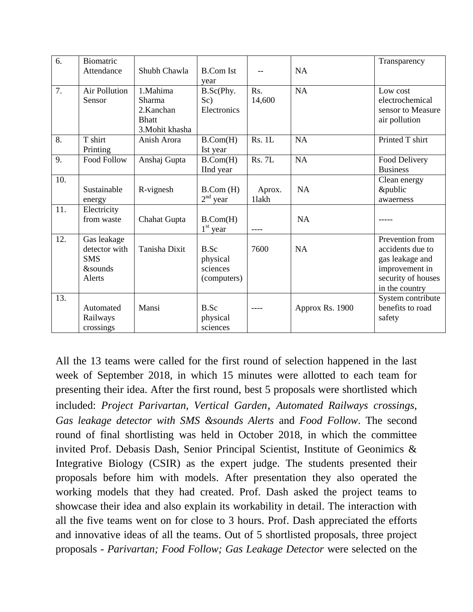| 6.  | Biomatric          |                 |                  |               |                 | Transparency       |
|-----|--------------------|-----------------|------------------|---------------|-----------------|--------------------|
|     | Attendance         | Shubh Chawla    | <b>B.Com Ist</b> |               | <b>NA</b>       |                    |
|     |                    |                 | year             |               |                 |                    |
| 7.  | Air Pollution      | 1.Mahima        | B.Sc(Phy.        | Rs.           | <b>NA</b>       | Low cost           |
|     | Sensor             | Sharma          | Sc)              | 14,600        |                 | electrochemical    |
|     |                    | 2.Kanchan       | Electronics      |               |                 | sensor to Measure  |
|     |                    | <b>Bhatt</b>    |                  |               |                 | air pollution      |
|     |                    | 3. Mohit khasha |                  |               |                 |                    |
| 8.  | T shirt            | Anish Arora     | B.Com(H)         | <b>Rs. 1L</b> | NA              | Printed T shirt    |
|     | Printing           |                 | Ist year         |               |                 |                    |
| 9.  | <b>Food Follow</b> | Anshaj Gupta    | B.Com(H)         | <b>Rs. 7L</b> | NA              | Food Delivery      |
|     |                    |                 | IInd year        |               |                 | <b>Business</b>    |
| 10. |                    |                 |                  |               |                 | Clean energy       |
|     | Sustainable        | R-vignesh       | B.Com(H)         | Aprox.        | <b>NA</b>       | &public            |
|     | energy             |                 | $2nd$ year       | 11akh         |                 | awaerness          |
| 11. | Electricity        |                 |                  |               |                 |                    |
|     | from waste         | Chahat Gupta    | B.Com(H)         |               | <b>NA</b>       |                    |
|     |                    |                 | $1st$ year       |               |                 |                    |
| 12. | Gas leakage        |                 |                  |               |                 | Prevention from    |
|     | detector with      | Tanisha Dixit   | B.Sc             | 7600          | <b>NA</b>       | accidents due to   |
|     | <b>SMS</b>         |                 | physical         |               |                 | gas leakage and    |
|     | <b>&amp;sounds</b> |                 | sciences         |               |                 | improvement in     |
|     | Alerts             |                 | (computers)      |               |                 | security of houses |
|     |                    |                 |                  |               |                 | in the country     |
| 13. |                    |                 |                  |               |                 | System contribute  |
|     | Automated          | Mansi           | B.Sc             |               | Approx Rs. 1900 | benefits to road   |
|     | Railways           |                 | physical         |               |                 | safety             |
|     | crossings          |                 | sciences         |               |                 |                    |

All the 13 teams were called for the first round of selection happened in the last week of September 2018, in which 15 minutes were allotted to each team for presenting their idea. After the first round, best 5 proposals were shortlisted which included: *Project Parivartan, Vertical Garden, Automated Railways crossings, Gas leakage detector with SMS &sounds Alerts* and *Food Follow*. The second round of final shortlisting was held in October 2018, in which the committee invited Prof. Debasis Dash, Senior Principal Scientist, Institute of Geonimics & Integrative Biology (CSIR) as the expert judge. The students presented their proposals before him with models. After presentation they also operated the working models that they had created. Prof. Dash asked the project teams to showcase their idea and also explain its workability in detail. The interaction with all the five teams went on for close to 3 hours. Prof. Dash appreciated the efforts and innovative ideas of all the teams. Out of 5 shortlisted proposals, three project proposals - *Parivartan; Food Follow; Gas Leakage Detector* were selected on the